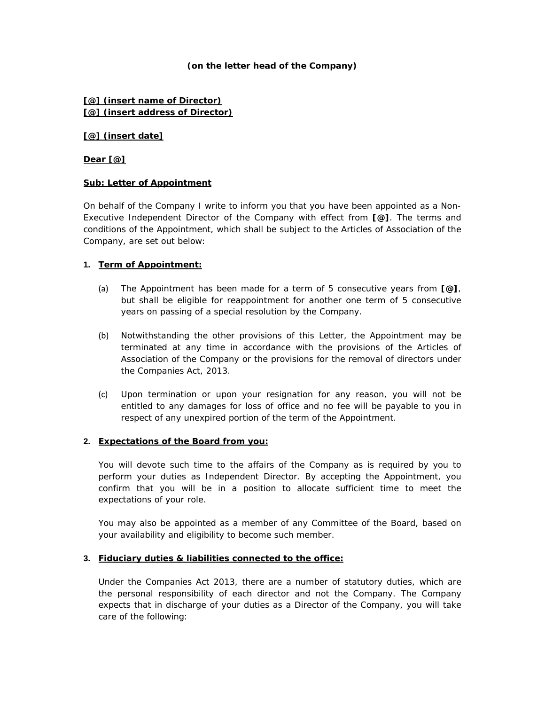## **(on the letter head of the Company)**

## **[@] (insert name of Director) [@] (insert address of Director)**

#### **[@] (insert date]**

## **Dear [@]**

## **Sub: Letter of Appointment**

On behalf of the Company I write to inform you that you have been appointed as a Non-Executive Independent Director of the Company with effect from **[@]**. The terms and conditions of the Appointment, which shall be subject to the Articles of Association of the Company, are set out below:

## **1. Term of Appointment:**

- (a) The Appointment has been made for a term of 5 consecutive years from **[@]**, but shall be eligible for reappointment for another one term of 5 consecutive years on passing of a special resolution by the Company.
- (b) Notwithstanding the other provisions of this Letter, the Appointment may be terminated at any time in accordance with the provisions of the Articles of Association of the Company or the provisions for the removal of directors under the Companies Act, 2013.
- (c) Upon termination or upon your resignation for any reason, you will not be entitled to any damages for loss of office and no fee will be payable to you in respect of any unexpired portion of the term of the Appointment.

#### **2. Expectations of the Board from you:**

You will devote such time to the affairs of the Company as is required by you to perform your duties as Independent Director. By accepting the Appointment, you confirm that you will be in a position to allocate sufficient time to meet the expectations of your role.

You may also be appointed as a member of any Committee of the Board, based on your availability and eligibility to become such member.

#### **3. Fiduciary duties & liabilities connected to the office:**

Under the Companies Act 2013, there are a number of statutory duties, which are the personal responsibility of each director and not the Company. The Company expects that in discharge of your duties as a Director of the Company, you will take care of the following: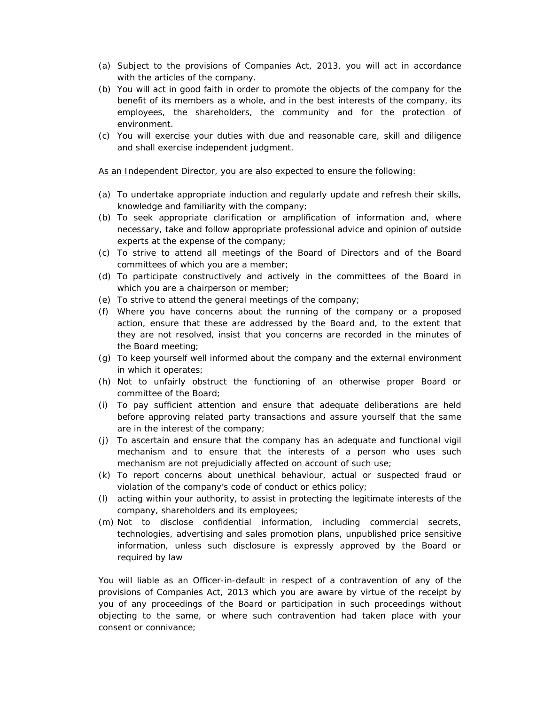- (a) Subject to the provisions of Companies Act, 2013, you will act in accordance with the articles of the company.
- (b) You will act in good faith in order to promote the objects of the company for the benefit of its members as a whole, and in the best interests of the company, its employees, the shareholders, the community and for the protection of environment.
- (c) You will exercise your duties with due and reasonable care, skill and diligence and shall exercise independent judgment.

As an Independent Director, you are also expected to ensure the following:

- (a) To undertake appropriate induction and regularly update and refresh their skills, knowledge and familiarity with the company;
- (b) To seek appropriate clarification or amplification of information and, where necessary, take and follow appropriate professional advice and opinion of outside experts at the expense of the company;
- (c) To strive to attend all meetings of the Board of Directors and of the Board committees of which you are a member;
- (d) To participate constructively and actively in the committees of the Board in which you are a chairperson or member;
- (e) To strive to attend the general meetings of the company;
- (f) Where you have concerns about the running of the company or a proposed action, ensure that these are addressed by the Board and, to the extent that they are not resolved, insist that you concerns are recorded in the minutes of the Board meeting;
- (g) To keep yourself well informed about the company and the external environment in which it operates;
- (h) Not to unfairly obstruct the functioning of an otherwise proper Board or committee of the Board;
- (i) To pay sufficient attention and ensure that adequate deliberations are held before approving related party transactions and assure yourself that the same are in the interest of the company;
- (j) To ascertain and ensure that the company has an adequate and functional vigil mechanism and to ensure that the interests of a person who uses such mechanism are not prejudicially affected on account of such use;
- (k) To report concerns about unethical behaviour, actual or suspected fraud or violation of the company's code of conduct or ethics policy;
- (l) acting within your authority, to assist in protecting the legitimate interests of the company, shareholders and its employees;
- (m) Not to disclose confidential information, including commercial secrets, technologies, advertising and sales promotion plans, unpublished price sensitive information, unless such disclosure is expressly approved by the Board or required by law

You will liable as an Officer-in-default in respect of a contravention of any of the provisions of Companies Act, 2013 which you are aware by virtue of the receipt by you of any proceedings of the Board or participation in such proceedings without objecting to the same, or where such contravention had taken place with your consent or connivance;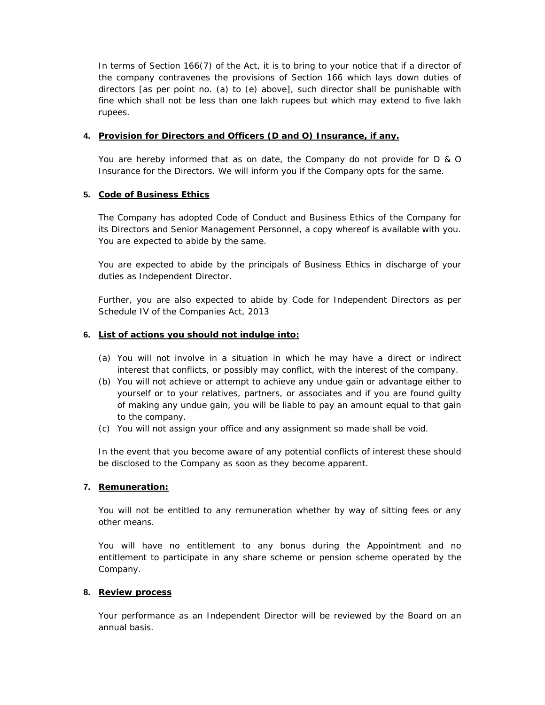In terms of Section 166(7) of the Act, it is to bring to your notice that if a director of the company contravenes the provisions of Section 166 which lays down duties of directors [as per point no. (a) to (e) above], such director shall be punishable with fine which shall not be less than one lakh rupees but which may extend to five lakh rupees.

## **4. Provision for Directors and Officers (D and O) Insurance, if any.**

You are hereby informed that as on date, the Company do not provide for D & O Insurance for the Directors. We will inform you if the Company opts for the same.

## **5. Code of Business Ethics**

The Company has adopted Code of Conduct and Business Ethics of the Company for its Directors and Senior Management Personnel, a copy whereof is available with you. You are expected to abide by the same.

You are expected to abide by the principals of Business Ethics in discharge of your duties as Independent Director.

Further, you are also expected to abide by Code for Independent Directors as per Schedule IV of the Companies Act, 2013

## **6. List of actions you should not indulge into:**

- (a) You will not involve in a situation in which he may have a direct or indirect interest that conflicts, or possibly may conflict, with the interest of the company.
- (b) You will not achieve or attempt to achieve any undue gain or advantage either to yourself or to your relatives, partners, or associates and if you are found guilty of making any undue gain, you will be liable to pay an amount equal to that gain to the company.
- (c) You will not assign your office and any assignment so made shall be void.

In the event that you become aware of any potential conflicts of interest these should be disclosed to the Company as soon as they become apparent.

# **7. Remuneration:**

You will not be entitled to any remuneration whether by way of sitting fees or any other means.

You will have no entitlement to any bonus during the Appointment and no entitlement to participate in any share scheme or pension scheme operated by the Company.

#### **8. Review process**

Your performance as an Independent Director will be reviewed by the Board on an annual basis.